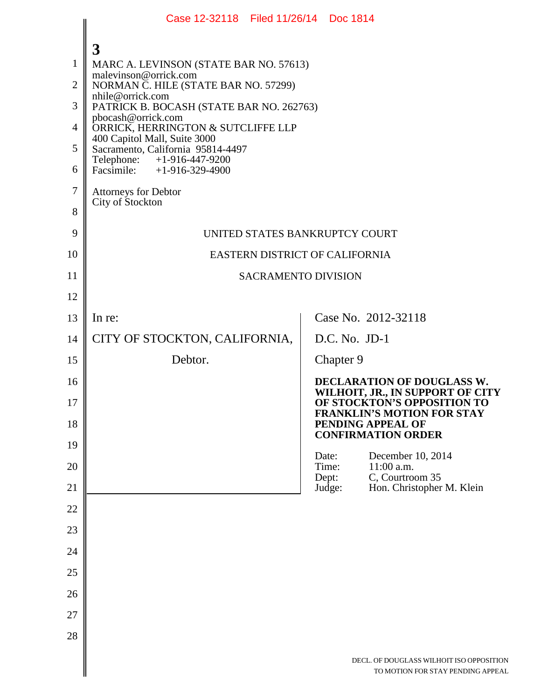| 3<br>$\mathbf{1}$<br>MARC A. LEVINSON (STATE BAR NO. 57613)<br>malevinson@orrick.com<br>$\overline{2}$<br>NORMAN C. HILE (STATE BAR NO. 57299)<br>nhile@orrick.com<br>3<br>PATRICK B. BOCASH (STATE BAR NO. 262763)<br>pbocash@orrick.com<br>$\overline{4}$<br>ORRICK, HERRINGTON & SUTCLIFFE LLP<br>400 Capitol Mall, Suite 3000<br>5<br>Sacramento, California 95814-4497<br>Telephone: +1-916-447-9200<br>6<br>Facsimile: $+1-916-329-4900$<br>$\overline{7}$<br>Attorneys for Debtor<br>City of Stockton<br>8<br>9<br>UNITED STATES BANKRUPTCY COURT<br>10<br>EASTERN DISTRICT OF CALIFORNIA<br>11<br><b>SACRAMENTO DIVISION</b><br>12<br>Case No. 2012-32118<br>13<br>In re:<br>CITY OF STOCKTON, CALIFORNIA,<br>D.C. No. JD-1<br>14<br>Debtor.<br>Chapter 9<br>15<br>DECLARATION OF DOUGLASS W.<br>16<br>WILHOIT, JR., IN SUPPORT OF CITY<br>OF STOCKTON'S OPPOSITION TO<br>17<br><b>FRANKLIN'S MOTION FOR STAY</b><br>18<br>PENDING APPEAL OF<br><b>CONFIRMATION ORDER</b><br>19<br>December 10, 2014<br>Date:<br>11:00 a.m.<br>20<br>Time:<br>C, Courtroom 35<br>Dept:<br>21<br>Judge:<br>Hon. Christopher M. Klein<br>22<br>23<br>24<br>25<br>26<br>27<br>28<br>DECL. OF DOUGLASS WILHOIT ISO OPPOSITION<br>TO MOTION FOR STAY PENDING APPEAL | Case 12-32118 Filed 11/26/14 Doc 1814 |  |  |  |
|--------------------------------------------------------------------------------------------------------------------------------------------------------------------------------------------------------------------------------------------------------------------------------------------------------------------------------------------------------------------------------------------------------------------------------------------------------------------------------------------------------------------------------------------------------------------------------------------------------------------------------------------------------------------------------------------------------------------------------------------------------------------------------------------------------------------------------------------------------------------------------------------------------------------------------------------------------------------------------------------------------------------------------------------------------------------------------------------------------------------------------------------------------------------------------------------------------------------------------------------------------|---------------------------------------|--|--|--|
|                                                                                                                                                                                                                                                                                                                                                                                                                                                                                                                                                                                                                                                                                                                                                                                                                                                                                                                                                                                                                                                                                                                                                                                                                                                        |                                       |  |  |  |
|                                                                                                                                                                                                                                                                                                                                                                                                                                                                                                                                                                                                                                                                                                                                                                                                                                                                                                                                                                                                                                                                                                                                                                                                                                                        |                                       |  |  |  |
|                                                                                                                                                                                                                                                                                                                                                                                                                                                                                                                                                                                                                                                                                                                                                                                                                                                                                                                                                                                                                                                                                                                                                                                                                                                        |                                       |  |  |  |
|                                                                                                                                                                                                                                                                                                                                                                                                                                                                                                                                                                                                                                                                                                                                                                                                                                                                                                                                                                                                                                                                                                                                                                                                                                                        |                                       |  |  |  |
|                                                                                                                                                                                                                                                                                                                                                                                                                                                                                                                                                                                                                                                                                                                                                                                                                                                                                                                                                                                                                                                                                                                                                                                                                                                        |                                       |  |  |  |
|                                                                                                                                                                                                                                                                                                                                                                                                                                                                                                                                                                                                                                                                                                                                                                                                                                                                                                                                                                                                                                                                                                                                                                                                                                                        |                                       |  |  |  |
|                                                                                                                                                                                                                                                                                                                                                                                                                                                                                                                                                                                                                                                                                                                                                                                                                                                                                                                                                                                                                                                                                                                                                                                                                                                        |                                       |  |  |  |
|                                                                                                                                                                                                                                                                                                                                                                                                                                                                                                                                                                                                                                                                                                                                                                                                                                                                                                                                                                                                                                                                                                                                                                                                                                                        |                                       |  |  |  |
|                                                                                                                                                                                                                                                                                                                                                                                                                                                                                                                                                                                                                                                                                                                                                                                                                                                                                                                                                                                                                                                                                                                                                                                                                                                        |                                       |  |  |  |
|                                                                                                                                                                                                                                                                                                                                                                                                                                                                                                                                                                                                                                                                                                                                                                                                                                                                                                                                                                                                                                                                                                                                                                                                                                                        |                                       |  |  |  |
|                                                                                                                                                                                                                                                                                                                                                                                                                                                                                                                                                                                                                                                                                                                                                                                                                                                                                                                                                                                                                                                                                                                                                                                                                                                        |                                       |  |  |  |
|                                                                                                                                                                                                                                                                                                                                                                                                                                                                                                                                                                                                                                                                                                                                                                                                                                                                                                                                                                                                                                                                                                                                                                                                                                                        |                                       |  |  |  |
|                                                                                                                                                                                                                                                                                                                                                                                                                                                                                                                                                                                                                                                                                                                                                                                                                                                                                                                                                                                                                                                                                                                                                                                                                                                        |                                       |  |  |  |
|                                                                                                                                                                                                                                                                                                                                                                                                                                                                                                                                                                                                                                                                                                                                                                                                                                                                                                                                                                                                                                                                                                                                                                                                                                                        |                                       |  |  |  |
|                                                                                                                                                                                                                                                                                                                                                                                                                                                                                                                                                                                                                                                                                                                                                                                                                                                                                                                                                                                                                                                                                                                                                                                                                                                        |                                       |  |  |  |
|                                                                                                                                                                                                                                                                                                                                                                                                                                                                                                                                                                                                                                                                                                                                                                                                                                                                                                                                                                                                                                                                                                                                                                                                                                                        |                                       |  |  |  |
|                                                                                                                                                                                                                                                                                                                                                                                                                                                                                                                                                                                                                                                                                                                                                                                                                                                                                                                                                                                                                                                                                                                                                                                                                                                        |                                       |  |  |  |
|                                                                                                                                                                                                                                                                                                                                                                                                                                                                                                                                                                                                                                                                                                                                                                                                                                                                                                                                                                                                                                                                                                                                                                                                                                                        |                                       |  |  |  |
|                                                                                                                                                                                                                                                                                                                                                                                                                                                                                                                                                                                                                                                                                                                                                                                                                                                                                                                                                                                                                                                                                                                                                                                                                                                        |                                       |  |  |  |
|                                                                                                                                                                                                                                                                                                                                                                                                                                                                                                                                                                                                                                                                                                                                                                                                                                                                                                                                                                                                                                                                                                                                                                                                                                                        |                                       |  |  |  |
|                                                                                                                                                                                                                                                                                                                                                                                                                                                                                                                                                                                                                                                                                                                                                                                                                                                                                                                                                                                                                                                                                                                                                                                                                                                        |                                       |  |  |  |
|                                                                                                                                                                                                                                                                                                                                                                                                                                                                                                                                                                                                                                                                                                                                                                                                                                                                                                                                                                                                                                                                                                                                                                                                                                                        |                                       |  |  |  |
|                                                                                                                                                                                                                                                                                                                                                                                                                                                                                                                                                                                                                                                                                                                                                                                                                                                                                                                                                                                                                                                                                                                                                                                                                                                        |                                       |  |  |  |
|                                                                                                                                                                                                                                                                                                                                                                                                                                                                                                                                                                                                                                                                                                                                                                                                                                                                                                                                                                                                                                                                                                                                                                                                                                                        |                                       |  |  |  |
|                                                                                                                                                                                                                                                                                                                                                                                                                                                                                                                                                                                                                                                                                                                                                                                                                                                                                                                                                                                                                                                                                                                                                                                                                                                        |                                       |  |  |  |
|                                                                                                                                                                                                                                                                                                                                                                                                                                                                                                                                                                                                                                                                                                                                                                                                                                                                                                                                                                                                                                                                                                                                                                                                                                                        |                                       |  |  |  |
|                                                                                                                                                                                                                                                                                                                                                                                                                                                                                                                                                                                                                                                                                                                                                                                                                                                                                                                                                                                                                                                                                                                                                                                                                                                        |                                       |  |  |  |
|                                                                                                                                                                                                                                                                                                                                                                                                                                                                                                                                                                                                                                                                                                                                                                                                                                                                                                                                                                                                                                                                                                                                                                                                                                                        |                                       |  |  |  |
|                                                                                                                                                                                                                                                                                                                                                                                                                                                                                                                                                                                                                                                                                                                                                                                                                                                                                                                                                                                                                                                                                                                                                                                                                                                        |                                       |  |  |  |
|                                                                                                                                                                                                                                                                                                                                                                                                                                                                                                                                                                                                                                                                                                                                                                                                                                                                                                                                                                                                                                                                                                                                                                                                                                                        |                                       |  |  |  |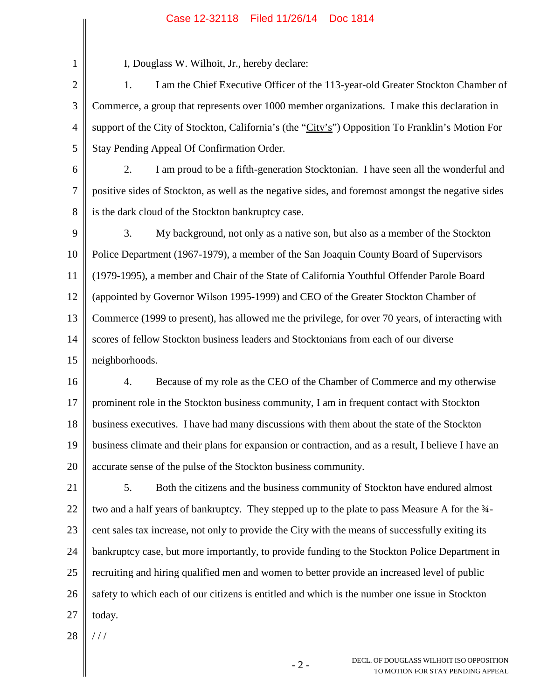## Case 12-32118 Filed 11/26/14 Doc 1814

1 2 3 4 5 6 7 8 9 10 11 12 13 14 15 I, Douglass W. Wilhoit, Jr., hereby declare: 1. I am the Chief Executive Officer of the 113-year-old Greater Stockton Chamber of Commerce, a group that represents over 1000 member organizations. I make this declaration in support of the City of Stockton, California's (the "City's") Opposition To Franklin's Motion For Stay Pending Appeal Of Confirmation Order. 2. I am proud to be a fifth-generation Stocktonian. I have seen all the wonderful and positive sides of Stockton, as well as the negative sides, and foremost amongst the negative sides is the dark cloud of the Stockton bankruptcy case. 3. My background, not only as a native son, but also as a member of the Stockton Police Department (1967-1979), a member of the San Joaquin County Board of Supervisors (1979-1995), a member and Chair of the State of California Youthful Offender Parole Board (appointed by Governor Wilson 1995-1999) and CEO of the Greater Stockton Chamber of Commerce (1999 to present), has allowed me the privilege, for over 70 years, of interacting with scores of fellow Stockton business leaders and Stocktonians from each of our diverse neighborhoods.

16 17 18 19 20 4. Because of my role as the CEO of the Chamber of Commerce and my otherwise prominent role in the Stockton business community, I am in frequent contact with Stockton business executives. I have had many discussions with them about the state of the Stockton business climate and their plans for expansion or contraction, and as a result, I believe I have an accurate sense of the pulse of the Stockton business community.

21 22 23 24 25 26 27 5. Both the citizens and the business community of Stockton have endured almost two and a half years of bankruptcy. They stepped up to the plate to pass Measure A for the ¾ cent sales tax increase, not only to provide the City with the means of successfully exiting its bankruptcy case, but more importantly, to provide funding to the Stockton Police Department in recruiting and hiring qualified men and women to better provide an increased level of public safety to which each of our citizens is entitled and which is the number one issue in Stockton today.

28 / / /